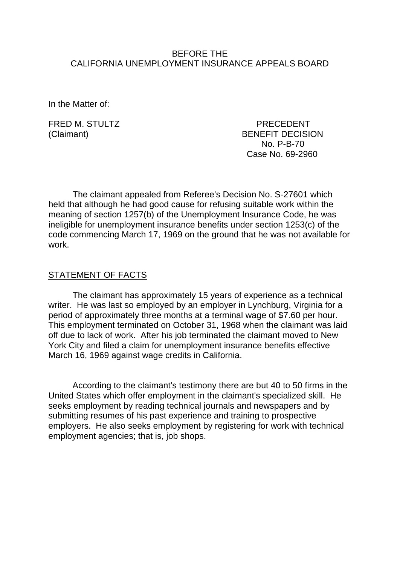### BEFORE THE CALIFORNIA UNEMPLOYMENT INSURANCE APPEALS BOARD

In the Matter of:

FRED M. STULTZ PRECEDENT (Claimant) BENEFIT DECISION No. P-B-70 Case No. 69-2960

The claimant appealed from Referee's Decision No. S-27601 which held that although he had good cause for refusing suitable work within the meaning of section 1257(b) of the Unemployment Insurance Code, he was ineligible for unemployment insurance benefits under section 1253(c) of the code commencing March 17, 1969 on the ground that he was not available for work.

### STATEMENT OF FACTS

The claimant has approximately 15 years of experience as a technical writer. He was last so employed by an employer in Lynchburg, Virginia for a period of approximately three months at a terminal wage of \$7.60 per hour. This employment terminated on October 31, 1968 when the claimant was laid off due to lack of work. After his job terminated the claimant moved to New York City and filed a claim for unemployment insurance benefits effective March 16, 1969 against wage credits in California.

According to the claimant's testimony there are but 40 to 50 firms in the United States which offer employment in the claimant's specialized skill. He seeks employment by reading technical journals and newspapers and by submitting resumes of his past experience and training to prospective employers. He also seeks employment by registering for work with technical employment agencies; that is, job shops.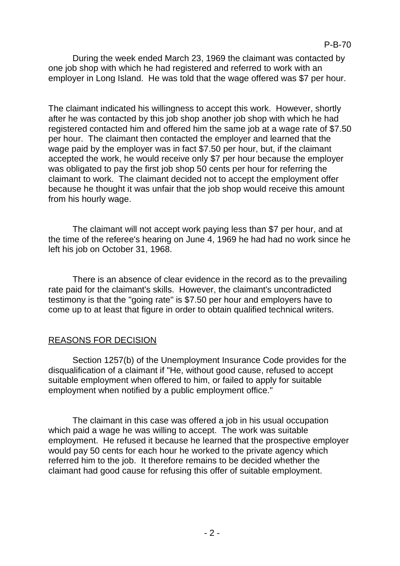During the week ended March 23, 1969 the claimant was contacted by one job shop with which he had registered and referred to work with an employer in Long Island. He was told that the wage offered was \$7 per hour.

The claimant indicated his willingness to accept this work. However, shortly after he was contacted by this job shop another job shop with which he had registered contacted him and offered him the same job at a wage rate of \$7.50 per hour. The claimant then contacted the employer and learned that the wage paid by the employer was in fact \$7.50 per hour, but, if the claimant accepted the work, he would receive only \$7 per hour because the employer was obligated to pay the first job shop 50 cents per hour for referring the claimant to work. The claimant decided not to accept the employment offer because he thought it was unfair that the job shop would receive this amount from his hourly wage.

The claimant will not accept work paying less than \$7 per hour, and at the time of the referee's hearing on June 4, 1969 he had had no work since he left his job on October 31, 1968.

There is an absence of clear evidence in the record as to the prevailing rate paid for the claimant's skills. However, the claimant's uncontradicted testimony is that the "going rate" is \$7.50 per hour and employers have to come up to at least that figure in order to obtain qualified technical writers.

#### REASONS FOR DECISION

Section 1257(b) of the Unemployment Insurance Code provides for the disqualification of a claimant if "He, without good cause, refused to accept suitable employment when offered to him, or failed to apply for suitable employment when notified by a public employment office."

The claimant in this case was offered a job in his usual occupation which paid a wage he was willing to accept. The work was suitable employment. He refused it because he learned that the prospective employer would pay 50 cents for each hour he worked to the private agency which referred him to the job. It therefore remains to be decided whether the claimant had good cause for refusing this offer of suitable employment.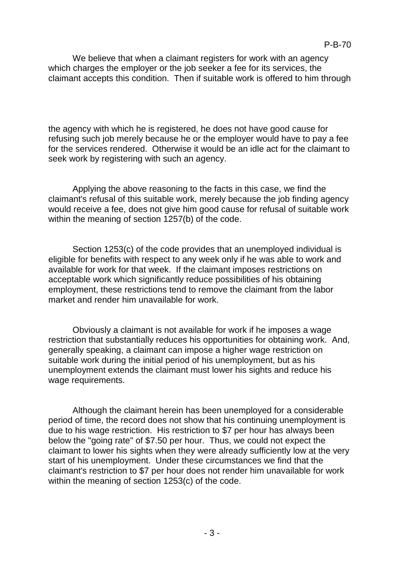We believe that when a claimant registers for work with an agency which charges the employer or the job seeker a fee for its services, the claimant accepts this condition. Then if suitable work is offered to him through

the agency with which he is registered, he does not have good cause for refusing such job merely because he or the employer would have to pay a fee for the services rendered. Otherwise it would be an idle act for the claimant to seek work by registering with such an agency.

Applying the above reasoning to the facts in this case, we find the claimant's refusal of this suitable work, merely because the job finding agency would receive a fee, does not give him good cause for refusal of suitable work within the meaning of section 1257(b) of the code.

Section 1253(c) of the code provides that an unemployed individual is eligible for benefits with respect to any week only if he was able to work and available for work for that week. If the claimant imposes restrictions on acceptable work which significantly reduce possibilities of his obtaining employment, these restrictions tend to remove the claimant from the labor market and render him unavailable for work.

Obviously a claimant is not available for work if he imposes a wage restriction that substantially reduces his opportunities for obtaining work. And, generally speaking, a claimant can impose a higher wage restriction on suitable work during the initial period of his unemployment, but as his unemployment extends the claimant must lower his sights and reduce his wage requirements.

Although the claimant herein has been unemployed for a considerable period of time, the record does not show that his continuing unemployment is due to his wage restriction. His restriction to \$7 per hour has always been below the "going rate" of \$7.50 per hour. Thus, we could not expect the claimant to lower his sights when they were already sufficiently low at the very start of his unemployment. Under these circumstances we find that the claimant's restriction to \$7 per hour does not render him unavailable for work within the meaning of section 1253(c) of the code.